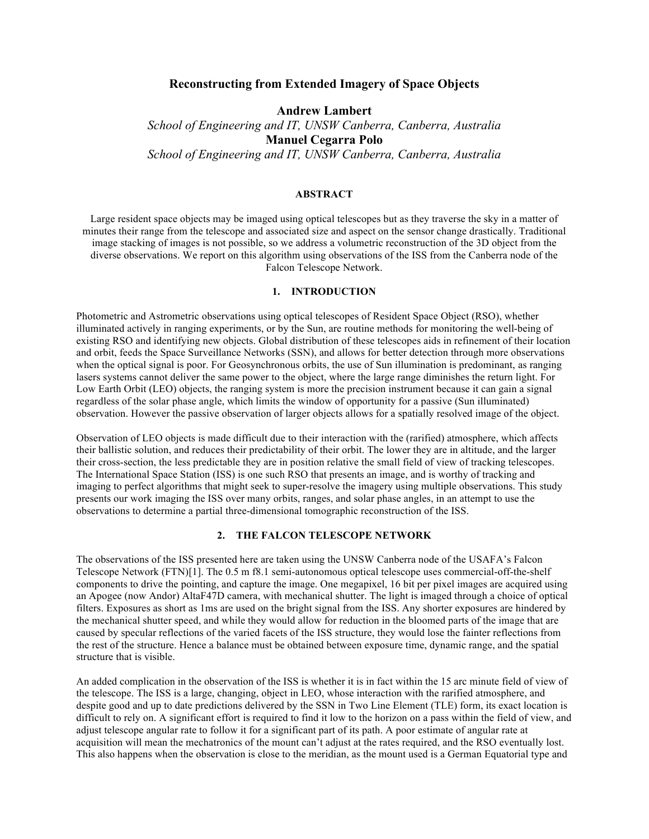# **Reconstructing from Extended Imagery of Space Objects**

**Andrew Lambert**

*School of Engineering and IT, UNSW Canberra, Canberra, Australia* **Manuel Cegarra Polo** *School of Engineering and IT, UNSW Canberra, Canberra, Australia*

## **ABSTRACT**

Large resident space objects may be imaged using optical telescopes but as they traverse the sky in a matter of minutes their range from the telescope and associated size and aspect on the sensor change drastically. Traditional image stacking of images is not possible, so we address a volumetric reconstruction of the 3D object from the diverse observations. We report on this algorithm using observations of the ISS from the Canberra node of the Falcon Telescope Network.

## **1. INTRODUCTION**

Photometric and Astrometric observations using optical telescopes of Resident Space Object (RSO), whether illuminated actively in ranging experiments, or by the Sun, are routine methods for monitoring the well-being of existing RSO and identifying new objects. Global distribution of these telescopes aids in refinement of their location and orbit, feeds the Space Surveillance Networks (SSN), and allows for better detection through more observations when the optical signal is poor. For Geosynchronous orbits, the use of Sun illumination is predominant, as ranging lasers systems cannot deliver the same power to the object, where the large range diminishes the return light. For Low Earth Orbit (LEO) objects, the ranging system is more the precision instrument because it can gain a signal regardless of the solar phase angle, which limits the window of opportunity for a passive (Sun illuminated) observation. However the passive observation of larger objects allows for a spatially resolved image of the object.

Observation of LEO objects is made difficult due to their interaction with the (rarified) atmosphere, which affects their ballistic solution, and reduces their predictability of their orbit. The lower they are in altitude, and the larger their cross-section, the less predictable they are in position relative the small field of view of tracking telescopes. The International Space Station (ISS) is one such RSO that presents an image, and is worthy of tracking and imaging to perfect algorithms that might seek to super-resolve the imagery using multiple observations. This study presents our work imaging the ISS over many orbits, ranges, and solar phase angles, in an attempt to use the observations to determine a partial three-dimensional tomographic reconstruction of the ISS.

## **2. THE FALCON TELESCOPE NETWORK**

The observations of the ISS presented here are taken using the UNSW Canberra node of the USAFA's Falcon Telescope Network (FTN)[1]. The 0.5 m f8.1 semi-autonomous optical telescope uses commercial-off-the-shelf components to drive the pointing, and capture the image. One megapixel, 16 bit per pixel images are acquired using an Apogee (now Andor) AltaF47D camera, with mechanical shutter. The light is imaged through a choice of optical filters. Exposures as short as 1ms are used on the bright signal from the ISS. Any shorter exposures are hindered by the mechanical shutter speed, and while they would allow for reduction in the bloomed parts of the image that are caused by specular reflections of the varied facets of the ISS structure, they would lose the fainter reflections from the rest of the structure. Hence a balance must be obtained between exposure time, dynamic range, and the spatial structure that is visible.

An added complication in the observation of the ISS is whether it is in fact within the 15 arc minute field of view of the telescope. The ISS is a large, changing, object in LEO, whose interaction with the rarified atmosphere, and despite good and up to date predictions delivered by the SSN in Two Line Element (TLE) form, its exact location is difficult to rely on. A significant effort is required to find it low to the horizon on a pass within the field of view, and adjust telescope angular rate to follow it for a significant part of its path. A poor estimate of angular rate at acquisition will mean the mechatronics of the mount can't adjust at the rates required, and the RSO eventually lost. This also happens when the observation is close to the meridian, as the mount used is a German Equatorial type and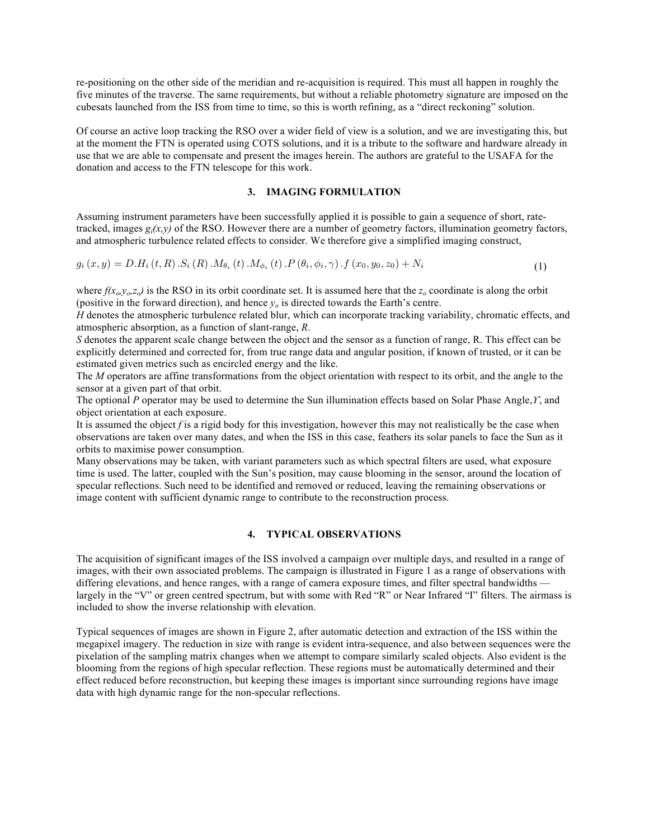re-positioning on the other side of the meridian and re-acquisition is required. This must all happen in roughly the five minutes of the traverse. The same requirements, but without a reliable photometry signature are imposed on the cubesats launched from the ISS from time to time, so this is worth refining, as a "direct reckoning" solution.

Of course an active loop tracking the RSO over a wider field of view is a solution, and we are investigating this, but at the moment the FTN is operated using COTS solutions, and it is a tribute to the software and hardware already in use that we are able to compensate and present the images herein. The authors are grateful to the USAFA for the donation and access to the FTN telescope for this work.

# **3. IMAGING FORMULATION**

Assuming instrument parameters have been successfully applied it is possible to gain a sequence of short, ratetracked, images  $g_i(x, y)$  of the RSO. However there are a number of geometry factors, illumination geometry factors, and atmospheric turbulence related effects to consider. We therefore give a simplified imaging construct,

$$
g_i(x, y) = D.H_i(t, R) \cdot S_i(R) \cdot M_{\theta_i}(t) \cdot M_{\phi_i}(t) \cdot P(\theta_i, \phi_i, \gamma) \cdot f(x_0, y_0, z_0) + N_i
$$
\n(1)

where  $f(x_0, y_0, z_0)$  is the RSO in its orbit coordinate set. It is assumed here that the  $z_0$  coordinate is along the orbit (positive in the forward direction), and hence *yo* is directed towards the Earth's centre.

*H* denotes the atmospheric turbulence related blur, which can incorporate tracking variability, chromatic effects, and atmospheric absorption, as a function of slant-range, *R*.

*S* denotes the apparent scale change between the object and the sensor as a function of range, R. This effect can be explicitly determined and corrected for, from true range data and angular position, if known of trusted, or it can be estimated given metrics such as encircled energy and the like.

The *M* operators are affine transformations from the object orientation with respect to its orbit, and the angle to the sensor at a given part of that orbit.

The optional *P* operator may be used to determine the Sun illumination effects based on Solar Phase Angle,*ϒ*, and object orientation at each exposure.

It is assumed the object *f* is a rigid body for this investigation, however this may not realistically be the case when observations are taken over many dates, and when the ISS in this case, feathers its solar panels to face the Sun as it orbits to maximise power consumption.

Many observations may be taken, with variant parameters such as which spectral filters are used, what exposure time is used. The latter, coupled with the Sun's position, may cause blooming in the sensor, around the location of specular reflections. Such need to be identified and removed or reduced, leaving the remaining observations or image content with sufficient dynamic range to contribute to the reconstruction process.

#### **4. TYPICAL OBSERVATIONS**

The acquisition of significant images of the ISS involved a campaign over multiple days, and resulted in a range of images, with their own associated problems. The campaign is illustrated in Figure 1 as a range of observations with differing elevations, and hence ranges, with a range of camera exposure times, and filter spectral bandwidths largely in the "V" or green centred spectrum, but with some with Red "R" or Near Infrared "I" filters. The airmass is included to show the inverse relationship with elevation.

Typical sequences of images are shown in Figure 2, after automatic detection and extraction of the ISS within the megapixel imagery. The reduction in size with range is evident intra-sequence, and also between sequences were the pixelation of the sampling matrix changes when we attempt to compare similarly scaled objects. Also evident is the blooming from the regions of high specular reflection. These regions must be automatically determined and their effect reduced before reconstruction, but keeping these images is important since surrounding regions have image data with high dynamic range for the non-specular reflections.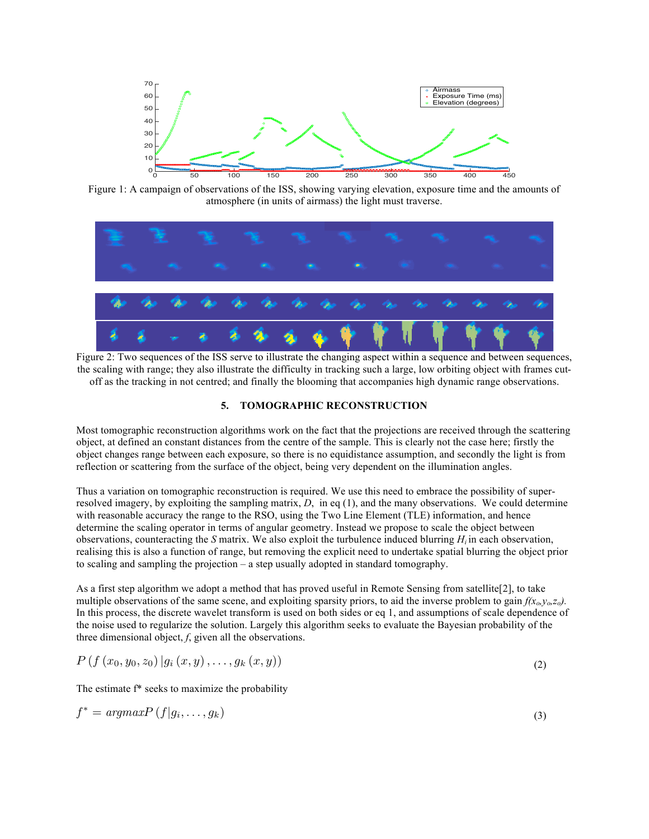

Figure 1: A campaign of observations of the ISS, showing varying elevation, exposure time and the amounts of atmosphere (in units of airmass) the light must traverse.



Figure 2: Two sequences of the ISS serve to illustrate the changing aspect within a sequence and between sequences, the scaling with range; they also illustrate the difficulty in tracking such a large, low orbiting object with frames cutoff as the tracking in not centred; and finally the blooming that accompanies high dynamic range observations.

### **5. TOMOGRAPHIC RECONSTRUCTION**

Most tomographic reconstruction algorithms work on the fact that the projections are received through the scattering object, at defined an constant distances from the centre of the sample. This is clearly not the case here; firstly the object changes range between each exposure, so there is no equidistance assumption, and secondly the light is from reflection or scattering from the surface of the object, being very dependent on the illumination angles.

Thus a variation on tomographic reconstruction is required. We use this need to embrace the possibility of superresolved imagery, by exploiting the sampling matrix, *D*, in eq (1), and the many observations. We could determine with reasonable accuracy the range to the RSO, using the Two Line Element (TLE) information, and hence determine the scaling operator in terms of angular geometry. Instead we propose to scale the object between observations, counteracting the *S* matrix. We also exploit the turbulence induced blurring *Hi* in each observation, realising this is also a function of range, but removing the explicit need to undertake spatial blurring the object prior to scaling and sampling the projection – a step usually adopted in standard tomography.

As a first step algorithm we adopt a method that has proved useful in Remote Sensing from satellite[2], to take multiple observations of the same scene, and exploiting sparsity priors, to aid the inverse problem to gain  $f(x_0, y_0, z_0)$ . In this process, the discrete wavelet transform is used on both sides or eq 1, and assumptions of scale dependence of the noise used to regularize the solution. Largely this algorithm seeks to evaluate the Bayesian probability of the three dimensional object, *f*, given all the observations.

$$
P(f(x_0, y_0, z_0) | g_i(x, y), \ldots, g_k(x, y))
$$
\n(2)

The estimate f\* seeks to maximize the probability

$$
f^* = argmax P(f|g_i, \dots, g_k)
$$
\n(3)